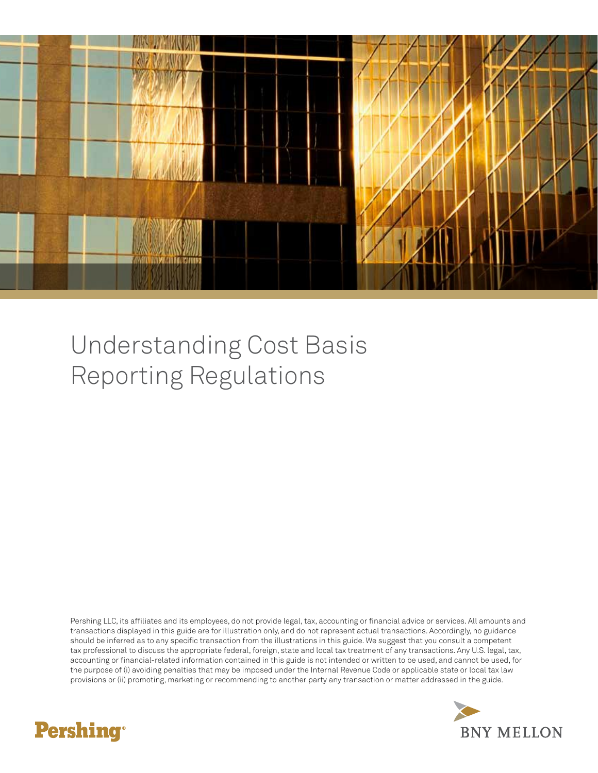

## Understanding Cost Basis Reporting Regulations

Pershing LLC, its affiliates and its employees, do not provide legal, tax, accounting or financial advice or services. All amounts and transactions displayed in this guide are for illustration only, and do not represent actual transactions. Accordingly, no guidance should be inferred as to any specific transaction from the illustrations in this guide. We suggest that you consult a competent tax professional to discuss the appropriate federal, foreign, state and local tax treatment of any transactions. Any U.S. legal, tax, accounting or financial-related information contained in this guide is not intended or written to be used, and cannot be used, for the purpose of (i) avoiding penalties that may be imposed under the Internal Revenue Code or applicable state or local tax law provisions or (ii) promoting, marketing or recommending to another party any transaction or matter addressed in the guide.



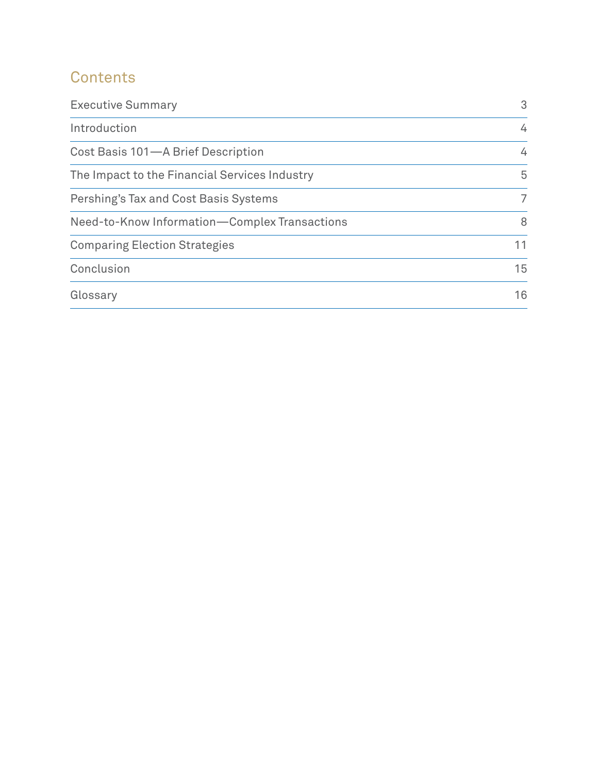### **Contents**

| <b>Executive Summary</b>                      | 3  |
|-----------------------------------------------|----|
| Introduction                                  | 4  |
| Cost Basis 101-A Brief Description            | 4  |
| The Impact to the Financial Services Industry | 5  |
| Pershing's Tax and Cost Basis Systems         | 7  |
| Need-to-Know Information-Complex Transactions | 8  |
| <b>Comparing Election Strategies</b>          | 11 |
| Conclusion                                    | 15 |
| Glossary                                      | 16 |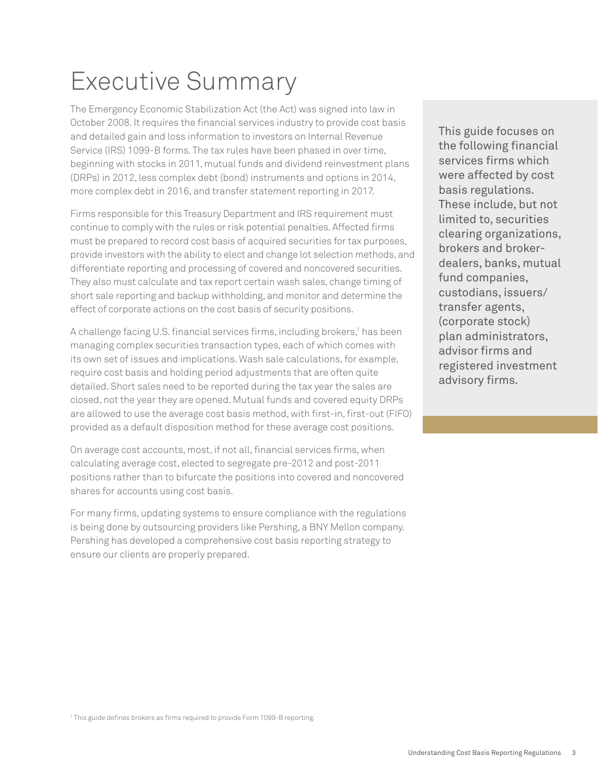## Executive Summary

The Emergency Economic Stabilization Act (the Act) was signed into law in October 2008. It requires the financial services industry to provide cost basis and detailed gain and loss information to investors on Internal Revenue Service (IRS) 1099-B forms. The tax rules have been phased in over time, beginning with stocks in 2011, mutual funds and dividend reinvestment plans (DRPs) in 2012, less complex debt (bond) instruments and options in 2014, more complex debt in 2016, and transfer statement reporting in 2017.

Firms responsible for this Treasury Department and IRS requirement must continue to comply with the rules or risk potential penalties. Affected firms must be prepared to record cost basis of acquired securities for tax purposes, provide investors with the ability to elect and change lot selection methods, and differentiate reporting and processing of covered and noncovered securities. They also must calculate and tax report certain wash sales, change timing of short sale reporting and backup withholding, and monitor and determine the effect of corporate actions on the cost basis of security positions.

A challenge facing U.S. financial services firms, including brokers,<sup>1</sup> has been managing complex securities transaction types, each of which comes with its own set of issues and implications. Wash sale calculations, for example, require cost basis and holding period adjustments that are often quite detailed. Short sales need to be reported during the tax year the sales are closed, not the year they are opened. Mutual funds and covered equity DRPs are allowed to use the average cost basis method, with first-in, first-out (FIFO) provided as a default disposition method for these average cost positions.

On average cost accounts, most, if not all, financial services firms, when calculating average cost, elected to segregate pre-2012 and post-2011 positions rather than to bifurcate the positions into covered and noncovered shares for accounts using cost basis.

For many firms, updating systems to ensure compliance with the regulations is being done by outsourcing providers like Pershing, a BNY Mellon company. Pershing has developed a comprehensive cost basis reporting strategy to ensure our clients are properly prepared.

This guide focuses on the following financial services firms which were affected by cost basis regulations. These include, but not limited to, securities clearing organizations, brokers and brokerdealers, banks, mutual fund companies, custodians, issuers/ transfer agents, (corporate stock) plan administrators, advisor firms and registered investment advisory firms.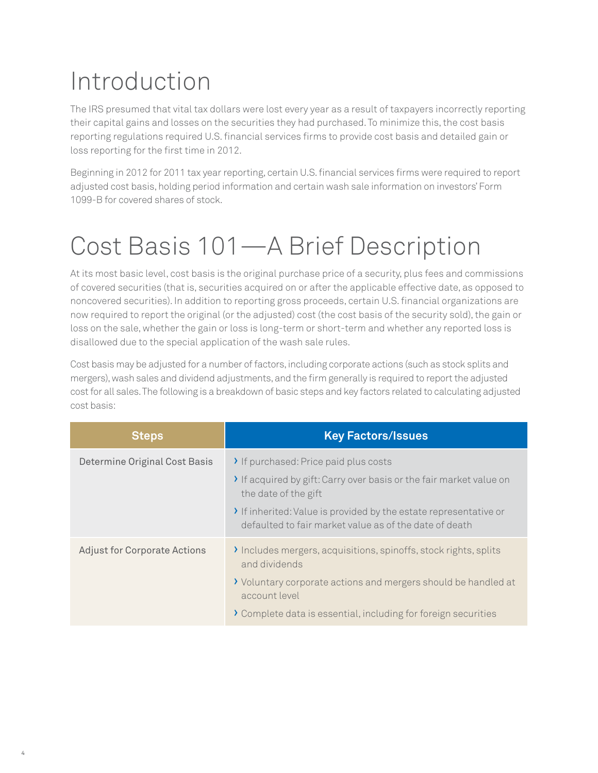## Introduction

The IRS presumed that vital tax dollars were lost every year as a result of taxpayers incorrectly reporting their capital gains and losses on the securities they had purchased. To minimize this, the cost basis reporting regulations required U.S. financial services firms to provide cost basis and detailed gain or loss reporting for the first time in 2012.

Beginning in 2012 for 2011 tax year reporting, certain U.S. financial services firms were required to report adjusted cost basis, holding period information and certain wash sale information on investors' Form 1099-B for covered shares of stock.

## Cost Basis 101—A Brief Description

At its most basic level, cost basis is the original purchase price of a security, plus fees and commissions of covered securities (that is, securities acquired on or after the applicable effective date, as opposed to noncovered securities). In addition to reporting gross proceeds, certain U.S. financial organizations are now required to report the original (or the adjusted) cost (the cost basis of the security sold), the gain or loss on the sale, whether the gain or loss is long-term or short-term and whether any reported loss is disallowed due to the special application of the wash sale rules.

Cost basis may be adjusted for a number of factors, including corporate actions (such as stock splits and mergers), wash sales and dividend adjustments, and the firm generally is required to report the adjusted cost for all sales. The following is a breakdown of basic steps and key factors related to calculating adjusted cost basis:

| <b>Steps</b>                        | <b>Key Factors/Issues</b>                                                                                                 |
|-------------------------------------|---------------------------------------------------------------------------------------------------------------------------|
| Determine Original Cost Basis       | If purchased: Price paid plus costs                                                                                       |
|                                     | If acquired by gift: Carry over basis or the fair market value on<br>the date of the gift                                 |
|                                     | If inherited: Value is provided by the estate representative or<br>defaulted to fair market value as of the date of death |
| <b>Adjust for Corporate Actions</b> | Includes mergers, acquisitions, spinoffs, stock rights, splits<br>and dividends                                           |
|                                     | > Voluntary corporate actions and mergers should be handled at<br>account level                                           |
|                                     | > Complete data is essential, including for foreign securities                                                            |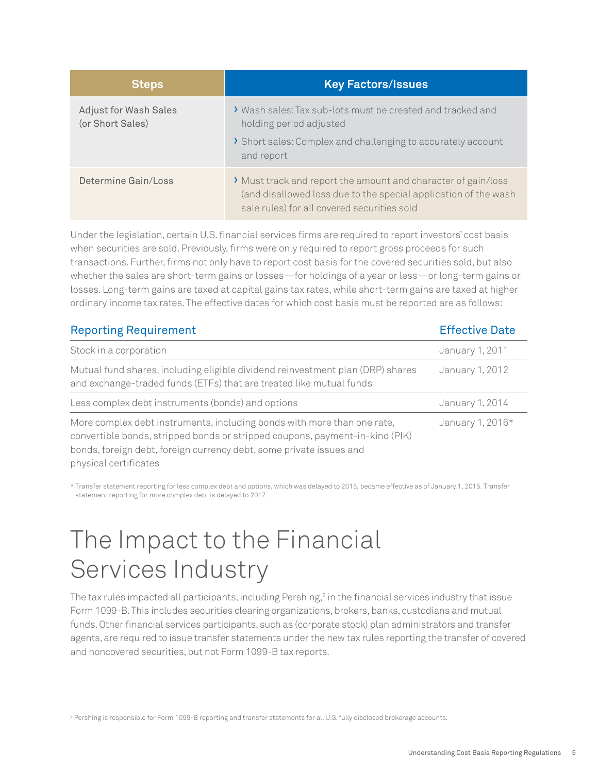| <b>Steps</b>                                     | <b>Key Factors/Issues</b>                                                                                                                                                       |
|--------------------------------------------------|---------------------------------------------------------------------------------------------------------------------------------------------------------------------------------|
| <b>Adjust for Wash Sales</b><br>(or Short Sales) | ◆ Wash sales: Tax sub-lots must be created and tracked and<br>holding period adjusted<br>> Short sales: Complex and challenging to accurately account<br>and report             |
| Determine Gain/Loss                              | > Must track and report the amount and character of gain/loss<br>(and disallowed loss due to the special application of the wash<br>sale rules) for all covered securities sold |

Under the legislation, certain U.S. financial services firms are required to report investors' cost basis when securities are sold. Previously, firms were only required to report gross proceeds for such transactions. Further, firms not only have to report cost basis for the covered securities sold, but also whether the sales are short-term gains or losses—for holdings of a year or less—or long-term gains or losses. Long-term gains are taxed at capital gains tax rates, while short-term gains are taxed at higher ordinary income tax rates. The effective dates for which cost basis must be reported are as follows:

| <b>Reporting Requirement</b>                                                                                                                                                                                                                            | <b>Effective Date</b> |
|---------------------------------------------------------------------------------------------------------------------------------------------------------------------------------------------------------------------------------------------------------|-----------------------|
| Stock in a corporation                                                                                                                                                                                                                                  | January 1, 2011       |
| Mutual fund shares, including eligible dividend reinvestment plan (DRP) shares<br>and exchange-traded funds (ETFs) that are treated like mutual funds                                                                                                   | January 1, 2012       |
| Less complex debt instruments (bonds) and options                                                                                                                                                                                                       | January 1, 2014       |
| More complex debt instruments, including bonds with more than one rate,<br>convertible bonds, stripped bonds or stripped coupons, payment-in-kind (PIK)<br>bonds, foreign debt, foreign currency debt, some private issues and<br>physical certificates | January 1, 2016*      |

\* Transfer statement reporting for less complex debt and options, which was delayed to 2015, became effective as of January 1, 2015. Transfer statement reporting for more complex debt is delayed to 2017.

### The Impact to the Financial Services Industry

The tax rules impacted all participants, including Pershing, $^2$  in the financial services industry that issue Form 1099-B. This includes securities clearing organizations, brokers, banks, custodians and mutual funds. Other financial services participants, such as (corporate stock) plan administrators and transfer agents, are required to issue transfer statements under the new tax rules reporting the transfer of covered and noncovered securities, but not Form 1099-B tax reports.

<sup>2</sup> Pershing is responsible for Form 1099-B reporting and transfer statements for all U.S. fully disclosed brokerage accounts.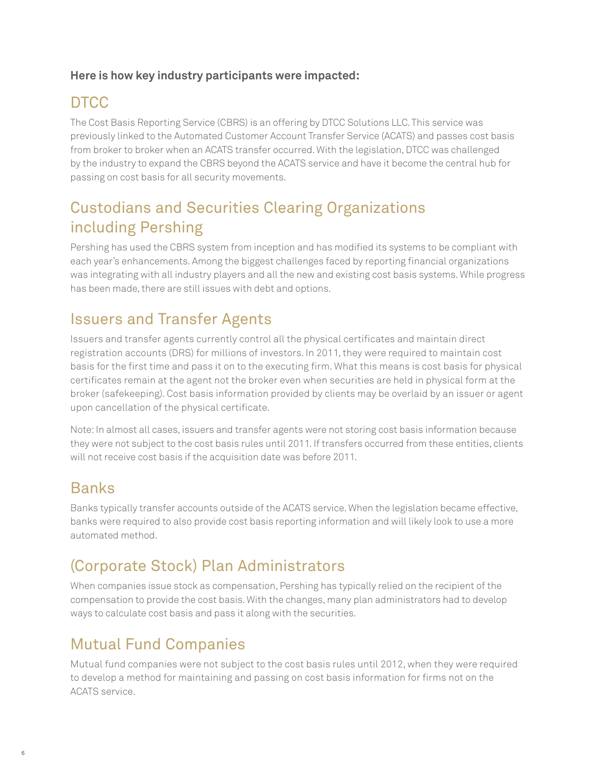#### **Here is how key industry participants were impacted:**

### **DTCC**

The Cost Basis Reporting Service (CBRS) is an offering by DTCC Solutions LLC. This service was previously linked to the Automated Customer Account Transfer Service (ACATS) and passes cost basis from broker to broker when an ACATS transfer occurred. With the legislation, DTCC was challenged by the industry to expand the CBRS beyond the ACATS service and have it become the central hub for passing on cost basis for all security movements.

#### Custodians and Securities Clearing Organizations including Pershing

Pershing has used the CBRS system from inception and has modified its systems to be compliant with each year's enhancements. Among the biggest challenges faced by reporting financial organizations was integrating with all industry players and all the new and existing cost basis systems. While progress has been made, there are still issues with debt and options.

#### Issuers and Transfer Agents

Issuers and transfer agents currently control all the physical certificates and maintain direct registration accounts (DRS) for millions of investors. In 2011, they were required to maintain cost basis for the first time and pass it on to the executing firm. What this means is cost basis for physical certificates remain at the agent not the broker even when securities are held in physical form at the broker (safekeeping). Cost basis information provided by clients may be overlaid by an issuer or agent upon cancellation of the physical certificate.

Note: In almost all cases, issuers and transfer agents were not storing cost basis information because they were not subject to the cost basis rules until 2011. If transfers occurred from these entities, clients will not receive cost basis if the acquisition date was before 2011.

#### **Banks**

Banks typically transfer accounts outside of the ACATS service. When the legislation became effective, banks were required to also provide cost basis reporting information and will likely look to use a more automated method.

### (Corporate Stock) Plan Administrators

When companies issue stock as compensation, Pershing has typically relied on the recipient of the compensation to provide the cost basis. With the changes, many plan administrators had to develop ways to calculate cost basis and pass it along with the securities.

#### Mutual Fund Companies

Mutual fund companies were not subject to the cost basis rules until 2012, when they were required to develop a method for maintaining and passing on cost basis information for firms not on the ACATS service.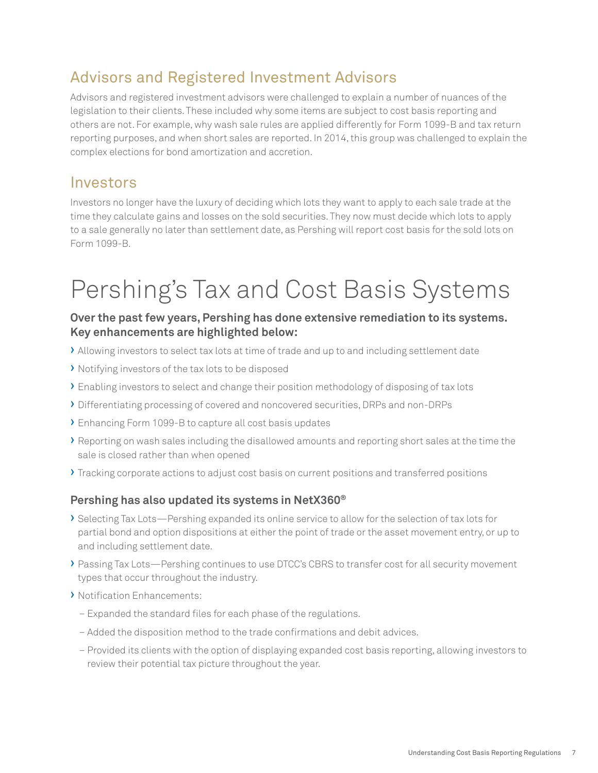#### Advisors and Registered Investment Advisors

Advisors and registered investment advisors were challenged to explain a number of nuances of the legislation to their clients. These included why some items are subject to cost basis reporting and others are not. For example, why wash sale rules are applied differently for Form 1099-B and tax return reporting purposes, and when short sales are reported. In 2014, this group was challenged to explain the complex elections for bond amortization and accretion.

#### Investors

Investors no longer have the luxury of deciding which lots they want to apply to each sale trade at the time they calculate gains and losses on the sold securities. They now must decide which lots to apply to a sale generally no later than settlement date, as Pershing will report cost basis for the sold lots on Form 1099-B.

## Pershing's Tax and Cost Basis Systems

#### **Over the past few years, Pershing has done extensive remediation to its systems. Key enhancements are highlighted below:**

- › Allowing investors to select tax lots at time of trade and up to and including settlement date
- › Notifying investors of the tax lots to be disposed
- › Enabling investors to select and change their position methodology of disposing of tax lots
- › Differentiating processing of covered and noncovered securities, DRPs and non-DRPs
- › Enhancing Form 1099-B to capture all cost basis updates
- › Reporting on wash sales including the disallowed amounts and reporting short sales at the time the sale is closed rather than when opened
- › Tracking corporate actions to adjust cost basis on current positions and transferred positions

#### **Pershing has also updated its systems in NetX360®**

- › Selecting Tax Lots—Pershing expanded its online service to allow for the selection of tax lots for partial bond and option dispositions at either the point of trade or the asset movement entry, or up to and including settlement date.
- › Passing Tax Lots—Pershing continues to use DTCC's CBRS to transfer cost for all security movement types that occur throughout the industry.
- › Notification Enhancements:
	- Expanded the standard files for each phase of the regulations.
	- Added the disposition method to the trade confirmations and debit advices.
	- Provided its clients with the option of displaying expanded cost basis reporting, allowing investors to review their potential tax picture throughout the year.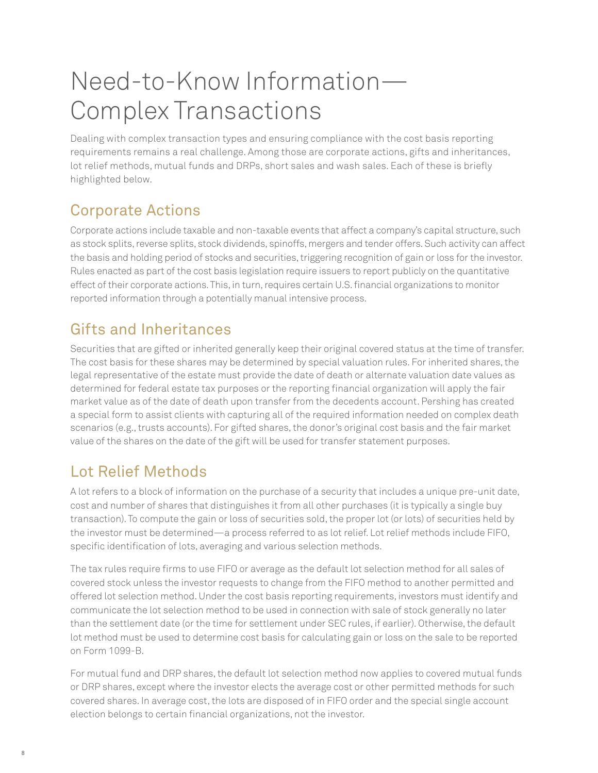## Need-to-Know Information— Complex Transactions

Dealing with complex transaction types and ensuring compliance with the cost basis reporting requirements remains a real challenge. Among those are corporate actions, gifts and inheritances, lot relief methods, mutual funds and DRPs, short sales and wash sales. Each of these is briefly highlighted below.

### Corporate Actions

Corporate actions include taxable and non-taxable events that affect a company's capital structure, such as stock splits, reverse splits, stock dividends, spinoffs, mergers and tender offers. Such activity can affect the basis and holding period of stocks and securities, triggering recognition of gain or loss for the investor. Rules enacted as part of the cost basis legislation require issuers to report publicly on the quantitative effect of their corporate actions. This, in turn, requires certain U.S. financial organizations to monitor reported information through a potentially manual intensive process.

#### Gifts and Inheritances

Securities that are gifted or inherited generally keep their original covered status at the time of transfer. The cost basis for these shares may be determined by special valuation rules. For inherited shares, the legal representative of the estate must provide the date of death or alternate valuation date values as determined for federal estate tax purposes or the reporting financial organization will apply the fair market value as of the date of death upon transfer from the decedents account. Pershing has created a special form to assist clients with capturing all of the required information needed on complex death scenarios (e.g., trusts accounts). For gifted shares, the donor's original cost basis and the fair market value of the shares on the date of the gift will be used for transfer statement purposes.

### Lot Relief Methods

A lot refers to a block of information on the purchase of a security that includes a unique pre-unit date, cost and number of shares that distinguishes it from all other purchases (it is typically a single buy transaction). To compute the gain or loss of securities sold, the proper lot (or lots) of securities held by the investor must be determined—a process referred to as lot relief. Lot relief methods include FIFO, specific identification of lots, averaging and various selection methods.

The tax rules require firms to use FIFO or average as the default lot selection method for all sales of covered stock unless the investor requests to change from the FIFO method to another permitted and offered lot selection method. Under the cost basis reporting requirements, investors must identify and communicate the lot selection method to be used in connection with sale of stock generally no later than the settlement date (or the time for settlement under SEC rules, if earlier). Otherwise, the default lot method must be used to determine cost basis for calculating gain or loss on the sale to be reported on Form 1099-B.

For mutual fund and DRP shares, the default lot selection method now applies to covered mutual funds or DRP shares, except where the investor elects the average cost or other permitted methods for such covered shares. In average cost, the lots are disposed of in FIFO order and the special single account election belongs to certain financial organizations, not the investor.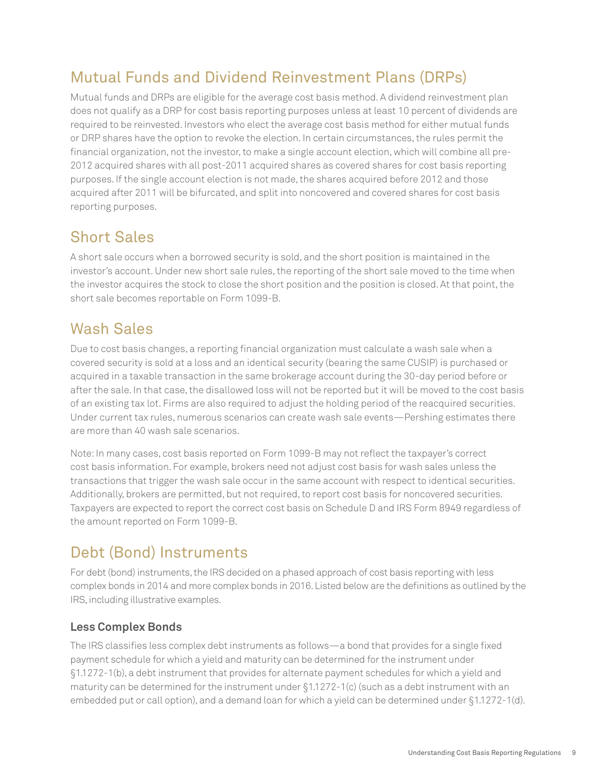### Mutual Funds and Dividend Reinvestment Plans (DRPs)

Mutual funds and DRPs are eligible for the average cost basis method. A dividend reinvestment plan does not qualify as a DRP for cost basis reporting purposes unless at least 10 percent of dividends are required to be reinvested. Investors who elect the average cost basis method for either mutual funds or DRP shares have the option to revoke the election. In certain circumstances, the rules permit the financial organization, not the investor, to make a single account election, which will combine all pre-2012 acquired shares with all post-2011 acquired shares as covered shares for cost basis reporting purposes. If the single account election is not made, the shares acquired before 2012 and those acquired after 2011 will be bifurcated, and split into noncovered and covered shares for cost basis reporting purposes.

#### Short Sales

A short sale occurs when a borrowed security is sold, and the short position is maintained in the investor's account. Under new short sale rules, the reporting of the short sale moved to the time when the investor acquires the stock to close the short position and the position is closed. At that point, the short sale becomes reportable on Form 1099-B.

#### Wash Sales

Due to cost basis changes, a reporting financial organization must calculate a wash sale when a covered security is sold at a loss and an identical security (bearing the same CUSIP) is purchased or acquired in a taxable transaction in the same brokerage account during the 30-day period before or after the sale. In that case, the disallowed loss will not be reported but it will be moved to the cost basis of an existing tax lot. Firms are also required to adjust the holding period of the reacquired securities. Under current tax rules, numerous scenarios can create wash sale events—Pershing estimates there are more than 40 wash sale scenarios.

Note: In many cases, cost basis reported on Form 1099-B may not reflect the taxpayer's correct cost basis information. For example, brokers need not adjust cost basis for wash sales unless the transactions that trigger the wash sale occur in the same account with respect to identical securities. Additionally, brokers are permitted, but not required, to report cost basis for noncovered securities. Taxpayers are expected to report the correct cost basis on Schedule D and IRS Form 8949 regardless of the amount reported on Form 1099-B.

### Debt (Bond) Instruments

For debt (bond) instruments, the IRS decided on a phased approach of cost basis reporting with less complex bonds in 2014 and more complex bonds in 2016. Listed below are the definitions as outlined by the IRS, including illustrative examples.

#### **Less Complex Bonds**

The IRS classifies less complex debt instruments as follows—a bond that provides for a single fixed payment schedule for which a yield and maturity can be determined for the instrument under §1.1272-1(b), a debt instrument that provides for alternate payment schedules for which a yield and maturity can be determined for the instrument under §1.1272-1(c) (such as a debt instrument with an embedded put or call option), and a demand loan for which a yield can be determined under §1.1272-1(d).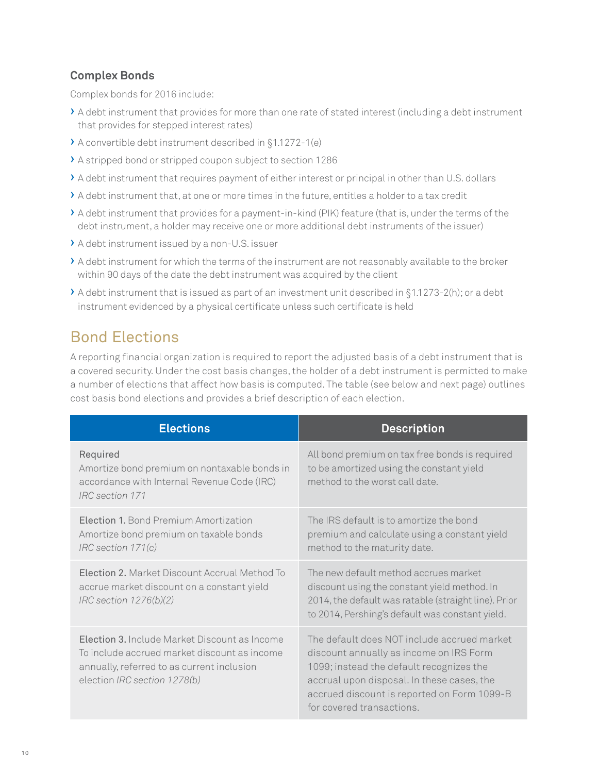#### **Complex Bonds**

Complex bonds for 2016 include:

- › A debt instrument that provides for more than one rate of stated interest (including a debt instrument that provides for stepped interest rates)
- › A convertible debt instrument described in §1.1272-1(e)
- › A stripped bond or stripped coupon subject to section 1286
- › A debt instrument that requires payment of either interest or principal in other than U.S. dollars
- › A debt instrument that, at one or more times in the future, entitles a holder to a tax credit
- › A debt instrument that provides for a payment-in-kind (PIK) feature (that is, under the terms of the debt instrument, a holder may receive one or more additional debt instruments of the issuer)
- › A debt instrument issued by a non-U.S. issuer
- › A debt instrument for which the terms of the instrument are not reasonably available to the broker within 90 days of the date the debt instrument was acquired by the client
- › A debt instrument that is issued as part of an investment unit described in §1.1273-2(h); or a debt instrument evidenced by a physical certificate unless such certificate is held

#### Bond Elections

A reporting financial organization is required to report the adjusted basis of a debt instrument that is a covered security. Under the cost basis changes, the holder of a debt instrument is permitted to make a number of elections that affect how basis is computed. The table (see below and next page) outlines cost basis bond elections and provides a brief description of each election.

| <b>Elections</b>                                                                                                                                                            | <b>Description</b>                                                                                                                                                                                                                                           |
|-----------------------------------------------------------------------------------------------------------------------------------------------------------------------------|--------------------------------------------------------------------------------------------------------------------------------------------------------------------------------------------------------------------------------------------------------------|
| Required<br>Amortize bond premium on nontaxable bonds in<br>accordance with Internal Revenue Code (IRC)<br>IRC section 171                                                  | All bond premium on tax free bonds is required<br>to be amortized using the constant yield<br>method to the worst call date.                                                                                                                                 |
| Election 1. Bond Premium Amortization<br>Amortize bond premium on taxable bonds<br>$IRC$ section $171(c)$                                                                   | The IRS default is to amortize the bond<br>premium and calculate using a constant yield<br>method to the maturity date.                                                                                                                                      |
| Election 2. Market Discount Accrual Method To<br>accrue market discount on a constant yield<br>$IRC$ section $1276(b)(2)$                                                   | The new default method accrues market<br>discount using the constant yield method. In<br>2014, the default was ratable (straight line). Prior<br>to 2014, Pershing's default was constant yield.                                                             |
| Election 3. Include Market Discount as Income<br>To include accrued market discount as income<br>annually, referred to as current inclusion<br>election IRC section 1278(b) | The default does NOT include accrued market<br>discount annually as income on IRS Form<br>1099; instead the default recognizes the<br>accrual upon disposal. In these cases, the<br>accrued discount is reported on Form 1099-B<br>for covered transactions. |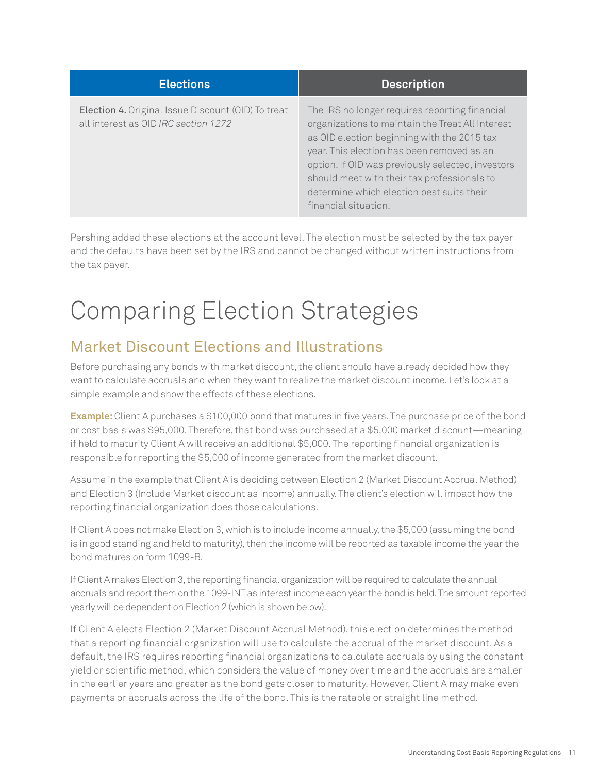| <b>Elections</b>                                                                           | <b>Description</b>                                                                                                                                                                                                                                                                                                                                                       |
|--------------------------------------------------------------------------------------------|--------------------------------------------------------------------------------------------------------------------------------------------------------------------------------------------------------------------------------------------------------------------------------------------------------------------------------------------------------------------------|
| Election 4. Original Issue Discount (OID) To treat<br>all interest as OID IRC section 1272 | The IRS no longer requires reporting financial<br>organizations to maintain the Treat All Interest<br>as OID election beginning with the 2015 tax<br>year. This election has been removed as an<br>option. If OID was previously selected, investors<br>should meet with their tax professionals to<br>determine which election best suits their<br>financial situation. |

Pershing added these elections at the account level. The election must be selected by the tax payer and the defaults have been set by the IRS and cannot be changed without written instructions from the tax payer.

## Comparing Election Strategies

#### Market Discount Elections and Illustrations

Before purchasing any bonds with market discount, the client should have already decided how they want to calculate accruals and when they want to realize the market discount income. Let's look at a simple example and show the effects of these elections.

**Example:** Client A purchases a \$100,000 bond that matures in five years. The purchase price of the bond or cost basis was \$95,000. Therefore, that bond was purchased at a \$5,000 market discount—meaning if held to maturity Client A will receive an additional \$5,000. The reporting financial organization is responsible for reporting the \$5,000 of income generated from the market discount.

Assume in the example that Client A is deciding between Election 2 (Market Discount Accrual Method) and Election 3 (Include Market discount as Income) annually. The client's election will impact how the reporting financial organization does those calculations.

If Client A does not make Election 3, which is to include income annually, the \$5,000 (assuming the bond is in good standing and held to maturity), then the income will be reported as taxable income the year the bond matures on form 1099-B.

If Client A makes Election 3, the reporting financial organization will be required to calculate the annual accruals and report them on the 1099-INT as interest income each year the bond is held. The amount reported yearly will be dependent on Election 2 (which is shown below).

If Client A elects Election 2 (Market Discount Accrual Method), this election determines the method that a reporting financial organization will use to calculate the accrual of the market discount. As a default, the IRS requires reporting financial organizations to calculate accruals by using the constant yield or scientific method, which considers the value of money over time and the accruals are smaller in the earlier years and greater as the bond gets closer to maturity. However, Client A may make even payments or accruals across the life of the bond. This is the ratable or straight line method.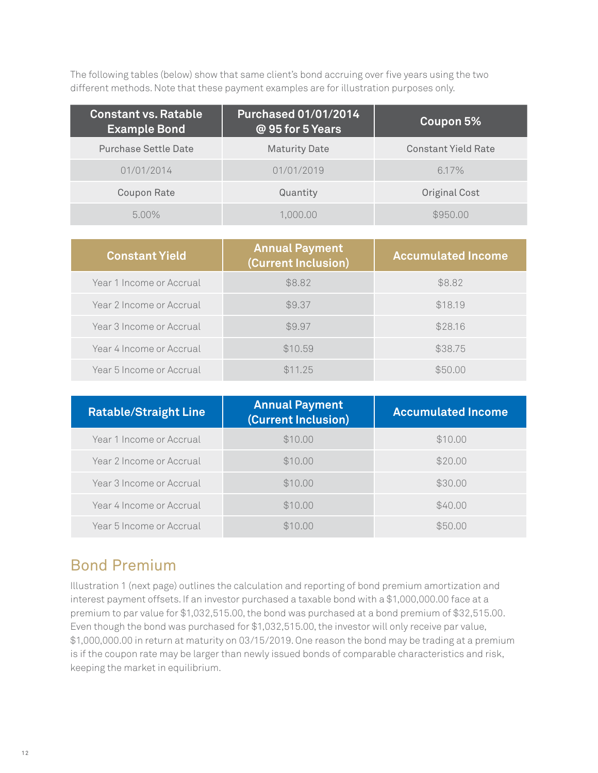The following tables (below) show that same client's bond accruing over five years using the two different methods. Note that these payment examples are for illustration purposes only.

| <b>Constant vs. Ratable</b><br><b>Example Bond</b> | Purchased 01/01/2014<br>@ 95 for 5 Years | Coupon 5%                  |
|----------------------------------------------------|------------------------------------------|----------------------------|
| Purchase Settle Date                               | <b>Maturity Date</b>                     | <b>Constant Yield Rate</b> |
| 01/01/2014                                         | 01/01/2019                               | $6.17\%$                   |
| Coupon Rate                                        | Quantity                                 | Original Cost              |
| $5.00\%$                                           | .000.00                                  | \$950.00                   |

| <b>Constant Yield</b>    | <b>Annual Payment</b><br>(Current Inclusion) | <b>Accumulated Income</b> |
|--------------------------|----------------------------------------------|---------------------------|
| Year 1 Income or Accrual | \$8.82                                       | \$8.82                    |
| Year 2 Income or Accrual | \$9.37                                       | \$18.19                   |
| Year 3 Income or Accrual | \$9.97                                       | \$28.16                   |
| Year 4 Income or Accrual | \$10.59                                      | \$38.75                   |
| Year 5 Income or Accrual | \$11.25                                      | \$50.00                   |

| <b>Ratable/Straight Line</b> | <b>Annual Payment</b><br>(Current Inclusion) | <b>Accumulated Income</b> |
|------------------------------|----------------------------------------------|---------------------------|
| Year 1 Income or Accrual     | \$10.00                                      | \$10.00                   |
| Year 2 Income or Accrual     | \$10.00                                      | \$20.00                   |
| Year 3 Income or Accrual     | \$10.00                                      | \$30.00                   |
| Year 4 Income or Accrual     | \$10.00                                      | \$40.00                   |
| Year 5 Income or Accrual     | \$10.00                                      | \$50.00                   |

#### Bond Premium

Illustration 1 (next page) outlines the calculation and reporting of bond premium amortization and interest payment offsets. If an investor purchased a taxable bond with a \$1,000,000.00 face at a premium to par value for \$1,032,515.00, the bond was purchased at a bond premium of \$32,515.00. Even though the bond was purchased for \$1,032,515.00, the investor will only receive par value, \$1,000,000.00 in return at maturity on 03/15/2019. One reason the bond may be trading at a premium is if the coupon rate may be larger than newly issued bonds of comparable characteristics and risk, keeping the market in equilibrium.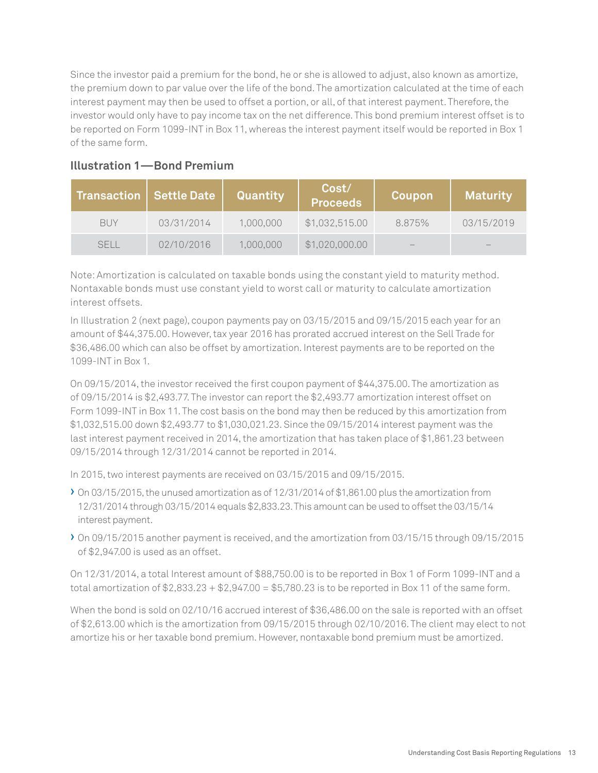Since the investor paid a premium for the bond, he or she is allowed to adjust, also known as amortize, the premium down to par value over the life of the bond. The amortization calculated at the time of each interest payment may then be used to offset a portion, or all, of that interest payment. Therefore, the investor would only have to pay income tax on the net difference. This bond premium interest offset is to be reported on Form 1099-INT in Box 11, whereas the interest payment itself would be reported in Box 1 of the same form.

| <b>Transaction</b> | Settle Date | Quantity  | Cost/<br><b>Proceeds</b> | Coupon | <b>Maturity</b> |
|--------------------|-------------|-----------|--------------------------|--------|-----------------|
| <b>BUY</b>         | 03/31/2014  | 1,000,000 | \$1,032,515.00           | 8.875% | 03/15/2019      |
| <b>SFII</b>        | 02/10/2016  | 1,000,000 | \$1,020,000.00           | $-$    | $-$             |

#### **Illustration 1—Bond Premium**

Note: Amortization is calculated on taxable bonds using the constant yield to maturity method. Nontaxable bonds must use constant yield to worst call or maturity to calculate amortization interest offsets.

In Illustration 2 (next page), coupon payments pay on 03/15/2015 and 09/15/2015 each year for an amount of \$44,375.00. However, tax year 2016 has prorated accrued interest on the Sell Trade for \$36,486.00 which can also be offset by amortization. Interest payments are to be reported on the 1099-INT in Box 1.

On 09/15/2014, the investor received the first coupon payment of \$44,375.00. The amortization as of 09/15/2014 is \$2,493.77. The investor can report the \$2,493.77 amortization interest offset on Form 1099-INT in Box 11. The cost basis on the bond may then be reduced by this amortization from \$1,032,515.00 down \$2,493.77 to \$1,030,021.23. Since the 09/15/2014 interest payment was the last interest payment received in 2014, the amortization that has taken place of \$1,861.23 between 09/15/2014 through 12/31/2014 cannot be reported in 2014.

In 2015, two interest payments are received on 03/15/2015 and 09/15/2015.

- › On 03/15/2015, the unused amortization as of 12/31/2014 of \$1,861.00 plus the amortization from 12/31/2014 through 03/15/2014 equals \$2,833.23. This amount can be used to offset the 03/15/14 interest payment.
- › On 09/15/2015 another payment is received, and the amortization from 03/15/15 through 09/15/2015 of \$2,947.00 is used as an offset.

On 12/31/2014, a total Interest amount of \$88,750.00 is to be reported in Box 1 of Form 1099-INT and a total amortization of  $$2,833.23 + $2,947.00 = $5,780.23$  is to be reported in Box 11 of the same form.

When the bond is sold on 02/10/16 accrued interest of \$36,486.00 on the sale is reported with an offset of \$2,613.00 which is the amortization from 09/15/2015 through 02/10/2016. The client may elect to not amortize his or her taxable bond premium. However, nontaxable bond premium must be amortized.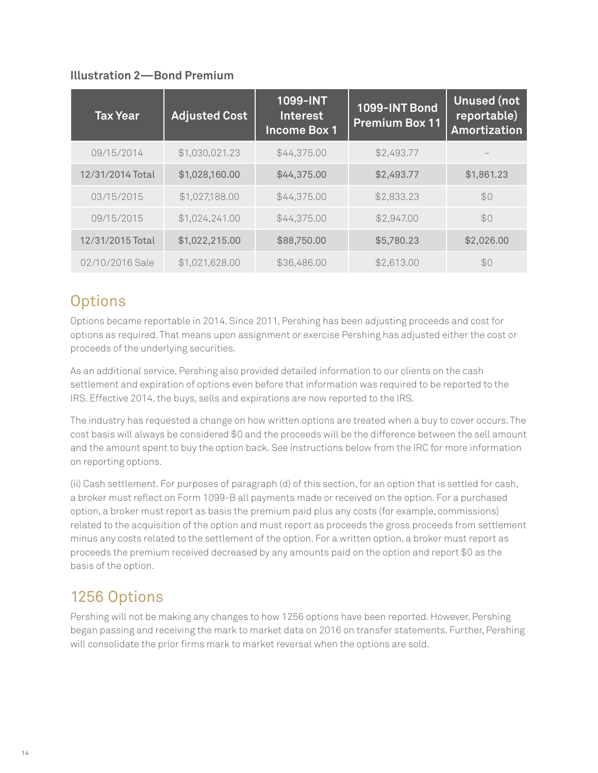#### **Illustration 2—Bond Premium**

| <b>Tax Year</b>  | <b>Adjusted Cost</b> | 1099-INT<br><b>Interest</b><br><b>Income Box 1</b> | 1099-INT Bond<br><b>Premium Box 11</b> | <b>Unused (not</b><br>reportable)<br><b>Amortization</b> |
|------------------|----------------------|----------------------------------------------------|----------------------------------------|----------------------------------------------------------|
| 09/15/2014       | \$1,030,021.23       | \$44,375.00                                        | \$2,493.77                             |                                                          |
| 12/31/2014 Total | \$1,028,160.00       | \$44,375.00                                        | \$2,493.77                             | \$1,861.23                                               |
| 03/15/2015       | \$1,027,188.00       | \$44,375.00                                        | \$2,833.23                             | \$0                                                      |
| 09/15/2015       | \$1,024,241.00       | \$44,375.00                                        | \$2,947.00                             | \$0                                                      |
| 12/31/2015 Total | \$1,022,215.00       | \$88,750.00                                        | \$5,780.23                             | \$2,026.00                                               |
| 02/10/2016 Sale  | \$1,021,628.00       | \$36,486.00                                        | \$2,613.00                             | \$0                                                      |

#### **Options**

Options became reportable in 2014. Since 2011, Pershing has been adjusting proceeds and cost for options as required. That means upon assignment or exercise Pershing has adjusted either the cost or proceeds of the underlying securities.

As an additional service, Pershing also provided detailed information to our clients on the cash settlement and expiration of options even before that information was required to be reported to the IRS. Effective 2014, the buys, sells and expirations are now reported to the IRS.

The industry has requested a change on how written options are treated when a buy to cover occurs. The cost basis will always be considered \$0 and the proceeds will be the difference between the sell amount and the amount spent to buy the option back. See instructions below from the IRC for more information on reporting options.

(ii) Cash settlement. For purposes of paragraph (d) of this section, for an option that is settled for cash, a broker must reflect on Form 1099-B all payments made or received on the option. For a purchased option, a broker must report as basis the premium paid plus any costs (for example, commissions) related to the acquisition of the option and must report as proceeds the gross proceeds from settlement minus any costs related to the settlement of the option. For a written option, a broker must report as proceeds the premium received decreased by any amounts paid on the option and report \$0 as the basis of the option.

### 1256 Options

Pershing will not be making any changes to how 1256 options have been reported. However, Pershing began passing and receiving the mark to market data on 2016 on transfer statements. Further, Pershing will consolidate the prior firms mark to market reversal when the options are sold.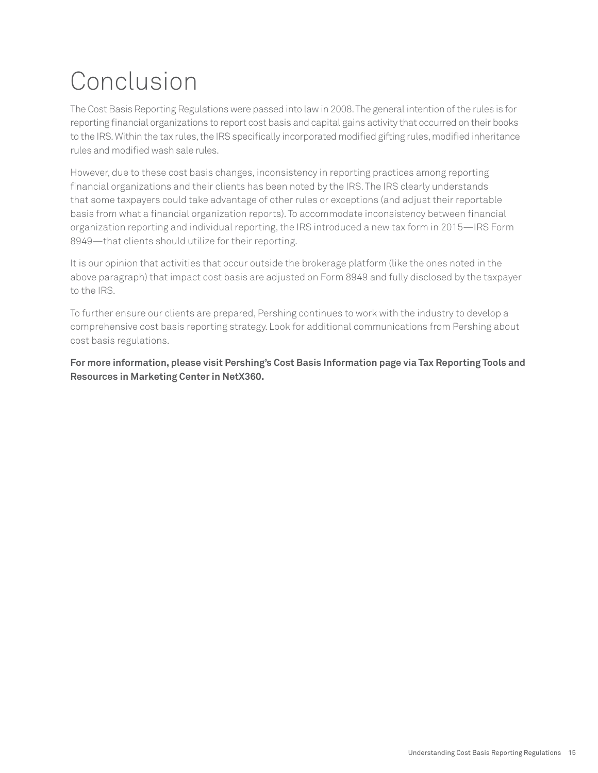# Conclusion

The Cost Basis Reporting Regulations were passed into law in 2008. The general intention of the rules is for reporting financial organizations to report cost basis and capital gains activity that occurred on their books to the IRS. Within the tax rules, the IRS specifically incorporated modified gifting rules, modified inheritance rules and modified wash sale rules.

However, due to these cost basis changes, inconsistency in reporting practices among reporting financial organizations and their clients has been noted by the IRS. The IRS clearly understands that some taxpayers could take advantage of other rules or exceptions (and adjust their reportable basis from what a financial organization reports). To accommodate inconsistency between financial organization reporting and individual reporting, the IRS introduced a new tax form in 2015—IRS Form 8949—that clients should utilize for their reporting.

It is our opinion that activities that occur outside the brokerage platform (like the ones noted in the above paragraph) that impact cost basis are adjusted on Form 8949 and fully disclosed by the taxpayer to the IRS.

To further ensure our clients are prepared, Pershing continues to work with the industry to develop a comprehensive cost basis reporting strategy. Look for additional communications from Pershing about cost basis regulations.

**For more information, please visit Pershing's Cost Basis Information page via Tax Reporting Tools and Resources in Marketing Center in NetX360.**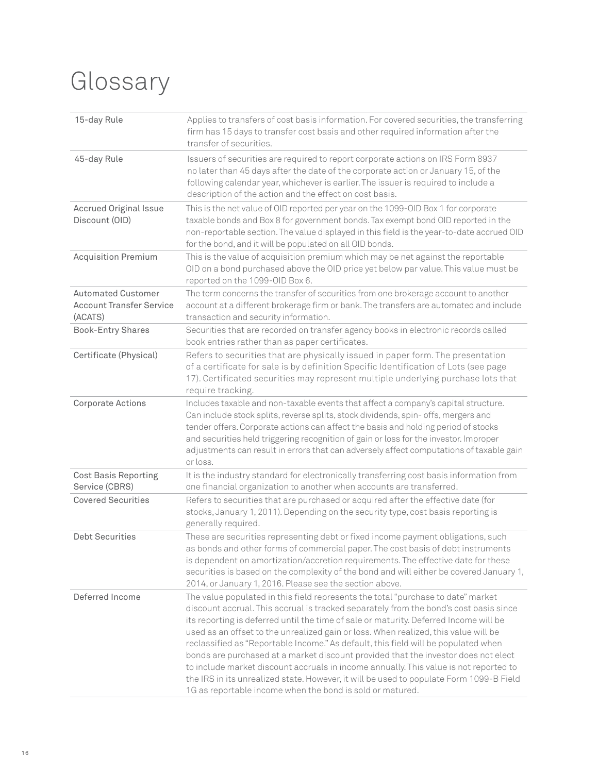## Glossary

| 15-day Rule                                                             | Applies to transfers of cost basis information. For covered securities, the transferring<br>firm has 15 days to transfer cost basis and other required information after the<br>transfer of securities.                                                                                                                                                                                                                                                                                                                                                                                                                                                                                                                                                                                |
|-------------------------------------------------------------------------|----------------------------------------------------------------------------------------------------------------------------------------------------------------------------------------------------------------------------------------------------------------------------------------------------------------------------------------------------------------------------------------------------------------------------------------------------------------------------------------------------------------------------------------------------------------------------------------------------------------------------------------------------------------------------------------------------------------------------------------------------------------------------------------|
| 45-day Rule                                                             | Issuers of securities are required to report corporate actions on IRS Form 8937<br>no later than 45 days after the date of the corporate action or January 15, of the<br>following calendar year, whichever is earlier. The issuer is required to include a<br>description of the action and the effect on cost basis.                                                                                                                                                                                                                                                                                                                                                                                                                                                                 |
| <b>Accrued Original Issue</b><br>Discount (OID)                         | This is the net value of OID reported per year on the 1099-OID Box 1 for corporate<br>taxable bonds and Box 8 for government bonds. Tax exempt bond OID reported in the<br>non-reportable section. The value displayed in this field is the year-to-date accrued OID<br>for the bond, and it will be populated on all OID bonds.                                                                                                                                                                                                                                                                                                                                                                                                                                                       |
| <b>Acquisition Premium</b>                                              | This is the value of acquisition premium which may be net against the reportable<br>OID on a bond purchased above the OID price yet below par value. This value must be<br>reported on the 1099-OID Box 6.                                                                                                                                                                                                                                                                                                                                                                                                                                                                                                                                                                             |
| <b>Automated Customer</b><br><b>Account Transfer Service</b><br>(ACATS) | The term concerns the transfer of securities from one brokerage account to another<br>account at a different brokerage firm or bank. The transfers are automated and include<br>transaction and security information.                                                                                                                                                                                                                                                                                                                                                                                                                                                                                                                                                                  |
| <b>Book-Entry Shares</b>                                                | Securities that are recorded on transfer agency books in electronic records called<br>book entries rather than as paper certificates.                                                                                                                                                                                                                                                                                                                                                                                                                                                                                                                                                                                                                                                  |
| Certificate (Physical)                                                  | Refers to securities that are physically issued in paper form. The presentation<br>of a certificate for sale is by definition Specific Identification of Lots (see page<br>17). Certificated securities may represent multiple underlying purchase lots that<br>require tracking.                                                                                                                                                                                                                                                                                                                                                                                                                                                                                                      |
| Corporate Actions                                                       | Includes taxable and non-taxable events that affect a company's capital structure.<br>Can include stock splits, reverse splits, stock dividends, spin- offs, mergers and<br>tender offers. Corporate actions can affect the basis and holding period of stocks<br>and securities held triggering recognition of gain or loss for the investor. Improper<br>adjustments can result in errors that can adversely affect computations of taxable gain<br>or loss.                                                                                                                                                                                                                                                                                                                         |
| <b>Cost Basis Reporting</b><br>Service (CBRS)                           | It is the industry standard for electronically transferring cost basis information from<br>one financial organization to another when accounts are transferred.                                                                                                                                                                                                                                                                                                                                                                                                                                                                                                                                                                                                                        |
| <b>Covered Securities</b>                                               | Refers to securities that are purchased or acquired after the effective date (for<br>stocks, January 1, 2011). Depending on the security type, cost basis reporting is<br>generally required.                                                                                                                                                                                                                                                                                                                                                                                                                                                                                                                                                                                          |
| <b>Debt Securities</b>                                                  | These are securities representing debt or fixed income payment obligations, such<br>as bonds and other forms of commercial paper. The cost basis of debt instruments<br>is dependent on amortization/accretion requirements. The effective date for these<br>securities is based on the complexity of the bond and will either be covered January 1,<br>2014, or January 1, 2016. Please see the section above.                                                                                                                                                                                                                                                                                                                                                                        |
| Deferred Income                                                         | The value populated in this field represents the total "purchase to date" market<br>discount accrual. This accrual is tracked separately from the bond's cost basis since<br>its reporting is deferred until the time of sale or maturity. Deferred Income will be<br>used as an offset to the unrealized gain or loss. When realized, this value will be<br>reclassified as "Reportable Income." As default, this field will be populated when<br>bonds are purchased at a market discount provided that the investor does not elect<br>to include market discount accruals in income annually. This value is not reported to<br>the IRS in its unrealized state. However, it will be used to populate Form 1099-B Field<br>1G as reportable income when the bond is sold or matured. |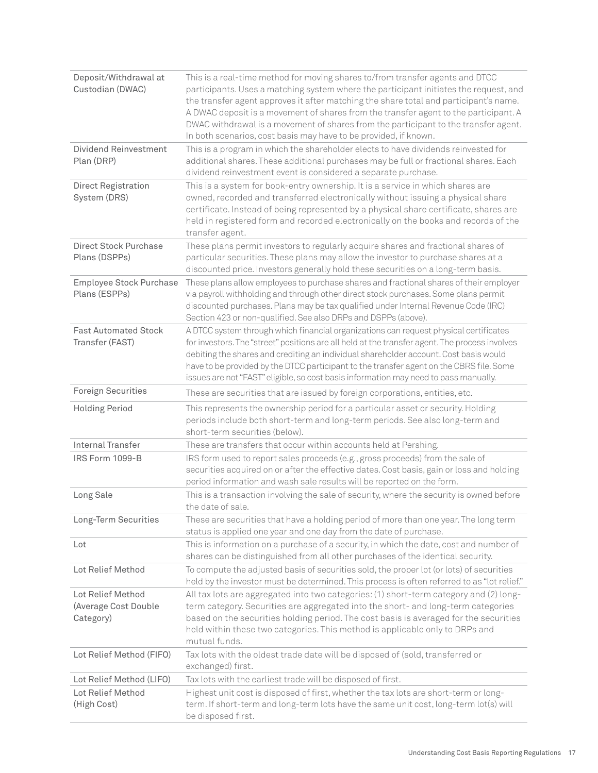| Deposit/Withdrawal at<br>Custodian (DWAC)              | This is a real-time method for moving shares to/from transfer agents and DTCC<br>participants. Uses a matching system where the participant initiates the request, and<br>the transfer agent approves it after matching the share total and participant's name.<br>A DWAC deposit is a movement of shares from the transfer agent to the participant. A<br>DWAC withdrawal is a movement of shares from the participant to the transfer agent.<br>In both scenarios, cost basis may have to be provided, if known. |
|--------------------------------------------------------|--------------------------------------------------------------------------------------------------------------------------------------------------------------------------------------------------------------------------------------------------------------------------------------------------------------------------------------------------------------------------------------------------------------------------------------------------------------------------------------------------------------------|
| Dividend Reinvestment<br>Plan (DRP)                    | This is a program in which the shareholder elects to have dividends reinvested for<br>additional shares. These additional purchases may be full or fractional shares. Each<br>dividend reinvestment event is considered a separate purchase.                                                                                                                                                                                                                                                                       |
| Direct Registration<br>System (DRS)                    | This is a system for book-entry ownership. It is a service in which shares are<br>owned, recorded and transferred electronically without issuing a physical share<br>certificate. Instead of being represented by a physical share certificate, shares are<br>held in registered form and recorded electronically on the books and records of the<br>transfer agent.                                                                                                                                               |
| <b>Direct Stock Purchase</b><br>Plans (DSPPs)          | These plans permit investors to regularly acquire shares and fractional shares of<br>particular securities. These plans may allow the investor to purchase shares at a<br>discounted price. Investors generally hold these securities on a long-term basis.                                                                                                                                                                                                                                                        |
| Employee Stock Purchase<br>Plans (ESPPs)               | These plans allow employees to purchase shares and fractional shares of their employer<br>via payroll withholding and through other direct stock purchases. Some plans permit<br>discounted purchases. Plans may be tax qualified under Internal Revenue Code (IRC)<br>Section 423 or non-qualified. See also DRPs and DSPPs (above).                                                                                                                                                                              |
| <b>Fast Automated Stock</b><br>Transfer (FAST)         | A DTCC system through which financial organizations can request physical certificates<br>for investors. The "street" positions are all held at the transfer agent. The process involves<br>debiting the shares and crediting an individual shareholder account. Cost basis would<br>have to be provided by the DTCC participant to the transfer agent on the CBRS file. Some<br>issues are not "FAST" eligible, so cost basis information may need to pass manually.                                               |
| <b>Foreign Securities</b>                              | These are securities that are issued by foreign corporations, entities, etc.                                                                                                                                                                                                                                                                                                                                                                                                                                       |
| <b>Holding Period</b>                                  | This represents the ownership period for a particular asset or security. Holding<br>periods include both short-term and long-term periods. See also long-term and<br>short-term securities (below).                                                                                                                                                                                                                                                                                                                |
| <b>Internal Transfer</b>                               | These are transfers that occur within accounts held at Pershing.                                                                                                                                                                                                                                                                                                                                                                                                                                                   |
| IRS Form 1099-B                                        | IRS form used to report sales proceeds (e.g., gross proceeds) from the sale of<br>securities acquired on or after the effective dates. Cost basis, gain or loss and holding<br>period information and wash sale results will be reported on the form.                                                                                                                                                                                                                                                              |
| Long Sale                                              | This is a transaction involving the sale of security, where the security is owned before<br>the date of sale.                                                                                                                                                                                                                                                                                                                                                                                                      |
| Long-Term Securities                                   | These are securities that have a holding period of more than one year. The long term<br>status is applied one year and one day from the date of purchase.                                                                                                                                                                                                                                                                                                                                                          |
| Lot                                                    | This is information on a purchase of a security, in which the date, cost and number of<br>shares can be distinguished from all other purchases of the identical security.                                                                                                                                                                                                                                                                                                                                          |
| Lot Relief Method                                      | To compute the adjusted basis of securities sold, the proper lot (or lots) of securities<br>held by the investor must be determined. This process is often referred to as "lot relief."                                                                                                                                                                                                                                                                                                                            |
| Lot Relief Method<br>(Average Cost Double<br>Category) | All tax lots are aggregated into two categories: (1) short-term category and (2) long-<br>term category. Securities are aggregated into the short- and long-term categories<br>based on the securities holding period. The cost basis is averaged for the securities<br>held within these two categories. This method is applicable only to DRPs and<br>mutual funds.                                                                                                                                              |
| Lot Relief Method (FIFO)                               | Tax lots with the oldest trade date will be disposed of (sold, transferred or<br>exchanged) first.                                                                                                                                                                                                                                                                                                                                                                                                                 |
| Lot Relief Method (LIFO)                               | Tax lots with the earliest trade will be disposed of first.                                                                                                                                                                                                                                                                                                                                                                                                                                                        |
| Lot Relief Method<br>(High Cost)                       | Highest unit cost is disposed of first, whether the tax lots are short-term or long-<br>term. If short-term and long-term lots have the same unit cost, long-term lot(s) will<br>be disposed first.                                                                                                                                                                                                                                                                                                                |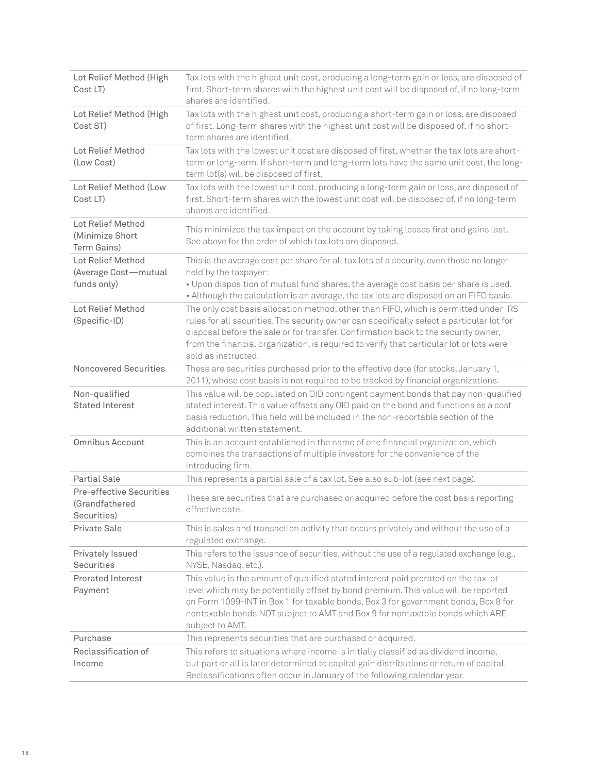| Lot Relief Method (High<br>Cost LT)                       | Tax lots with the highest unit cost, producing a long-term gain or loss, are disposed of<br>first. Short-term shares with the highest unit cost will be disposed of, if no long-term<br>shares are identified.                                                                                                                                                                            |
|-----------------------------------------------------------|-------------------------------------------------------------------------------------------------------------------------------------------------------------------------------------------------------------------------------------------------------------------------------------------------------------------------------------------------------------------------------------------|
| Lot Relief Method (High<br>Cost ST)                       | Tax lots with the highest unit cost, producing a short-term gain or loss, are disposed<br>of first. Long-term shares with the highest unit cost will be disposed of, if no short-<br>term shares are identified.                                                                                                                                                                          |
| Lot Relief Method<br>(Low Cost)                           | Tax lots with the lowest unit cost are disposed of first, whether the tax lots are short-<br>term or long-term. If short-term and long-term lots have the same unit cost, the long-<br>term lot(s) will be disposed of first.                                                                                                                                                             |
| Lot Relief Method (Low<br>Cost LT)                        | Tax lots with the lowest unit cost, producing a long-term gain or loss, are disposed of<br>first. Short-term shares with the lowest unit cost will be disposed of, if no long-term<br>shares are identified.                                                                                                                                                                              |
| Lot Relief Method<br>(Minimize Short)<br>Term Gains)      | This minimizes the tax impact on the account by taking losses first and gains last.<br>See above for the order of which tax lots are disposed.                                                                                                                                                                                                                                            |
| Lot Relief Method<br>(Average Cost-mutual<br>funds only)  | This is the average cost per share for all tax lots of a security, even those no longer<br>held by the taxpayer:<br>. Upon disposition of mutual fund shares, the average cost basis per share is used.<br>• Although the calculation is an average, the tax lots are disposed on an FIFO basis.                                                                                          |
| Lot Relief Method<br>(Specific-ID)                        | The only cost basis allocation method, other than FIFO, which is permitted under IRS<br>rules for all securities. The security owner can specifically select a particular lot for<br>disposal before the sale or for transfer. Confirmation back to the security owner,<br>from the financial organization, is required to verify that particular lot or lots were<br>sold as instructed. |
| Noncovered Securities                                     | These are securities purchased prior to the effective date (for stocks, January 1,<br>2011), whose cost basis is not required to be tracked by financial organizations.                                                                                                                                                                                                                   |
| Non-qualified<br><b>Stated Interest</b>                   | This value will be populated on OID contingent payment bonds that pay non-qualified<br>stated interest. This value offsets any OID paid on the bond and functions as a cost<br>basis reduction. This field will be included in the non-reportable section of the<br>additional written statement.                                                                                         |
| <b>Omnibus Account</b>                                    | This is an account established in the name of one financial organization, which<br>combines the transactions of multiple investors for the convenience of the<br>introducing firm.                                                                                                                                                                                                        |
| <b>Partial Sale</b>                                       | This represents a partial sale of a tax lot. See also sub-lot (see next page).                                                                                                                                                                                                                                                                                                            |
| Pre-effective Securities<br>(Grandfathered<br>Securities) | These are securities that are purchased or acquired before the cost basis reporting<br>effective date.                                                                                                                                                                                                                                                                                    |
| Private Sale                                              | This is sales and transaction activity that occurs privately and without the use of a<br>regulated exchange.                                                                                                                                                                                                                                                                              |
| Privately Issued<br>Securities                            | This refers to the issuance of securities, without the use of a regulated exchange (e.g.,<br>NYSE, Nasdaq, etc.).                                                                                                                                                                                                                                                                         |
| <b>Prorated Interest</b><br>Payment                       | This value is the amount of qualified stated interest paid prorated on the tax lot<br>level which may be potentially offset by bond premium. This value will be reported<br>on Form 1099-INT in Box 1 for taxable bonds, Box 3 for government bonds, Box 8 for<br>nontaxable bonds NOT subject to AMT and Box 9 for nontaxable bonds which ARE<br>subject to AMT.                         |
| Purchase                                                  | This represents securities that are purchased or acquired.                                                                                                                                                                                                                                                                                                                                |
| Reclassification of<br>Income                             | This refers to situations where income is initially classified as dividend income,<br>but part or all is later determined to capital gain distributions or return of capital.<br>Reclassifications often occur in January of the following calendar year.                                                                                                                                 |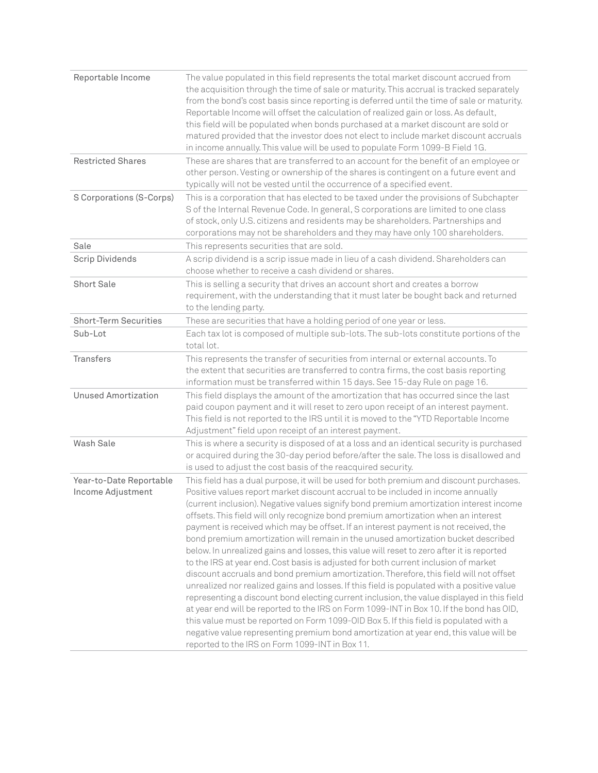| Reportable Income                            | The value populated in this field represents the total market discount accrued from<br>the acquisition through the time of sale or maturity. This accrual is tracked separately<br>from the bond's cost basis since reporting is deferred until the time of sale or maturity.<br>Reportable Income will offset the calculation of realized gain or loss. As default,<br>this field will be populated when bonds purchased at a market discount are sold or<br>matured provided that the investor does not elect to include market discount accruals<br>in income annually. This value will be used to populate Form 1099-B Field 1G.                                                                                                                                                                                                                                                                                                                                                                                                                                                                                                                                                                                                                                                                                                                |
|----------------------------------------------|-----------------------------------------------------------------------------------------------------------------------------------------------------------------------------------------------------------------------------------------------------------------------------------------------------------------------------------------------------------------------------------------------------------------------------------------------------------------------------------------------------------------------------------------------------------------------------------------------------------------------------------------------------------------------------------------------------------------------------------------------------------------------------------------------------------------------------------------------------------------------------------------------------------------------------------------------------------------------------------------------------------------------------------------------------------------------------------------------------------------------------------------------------------------------------------------------------------------------------------------------------------------------------------------------------------------------------------------------------|
| <b>Restricted Shares</b>                     | These are shares that are transferred to an account for the benefit of an employee or<br>other person. Vesting or ownership of the shares is contingent on a future event and<br>typically will not be vested until the occurrence of a specified event.                                                                                                                                                                                                                                                                                                                                                                                                                                                                                                                                                                                                                                                                                                                                                                                                                                                                                                                                                                                                                                                                                            |
| S Corporations (S-Corps)                     | This is a corporation that has elected to be taxed under the provisions of Subchapter<br>S of the Internal Revenue Code. In general, S corporations are limited to one class<br>of stock, only U.S. citizens and residents may be shareholders. Partnerships and<br>corporations may not be shareholders and they may have only 100 shareholders.                                                                                                                                                                                                                                                                                                                                                                                                                                                                                                                                                                                                                                                                                                                                                                                                                                                                                                                                                                                                   |
| Sale                                         | This represents securities that are sold.                                                                                                                                                                                                                                                                                                                                                                                                                                                                                                                                                                                                                                                                                                                                                                                                                                                                                                                                                                                                                                                                                                                                                                                                                                                                                                           |
| <b>Scrip Dividends</b>                       | A scrip dividend is a scrip issue made in lieu of a cash dividend. Shareholders can<br>choose whether to receive a cash dividend or shares.                                                                                                                                                                                                                                                                                                                                                                                                                                                                                                                                                                                                                                                                                                                                                                                                                                                                                                                                                                                                                                                                                                                                                                                                         |
| <b>Short Sale</b>                            | This is selling a security that drives an account short and creates a borrow<br>requirement, with the understanding that it must later be bought back and returned<br>to the lending party.                                                                                                                                                                                                                                                                                                                                                                                                                                                                                                                                                                                                                                                                                                                                                                                                                                                                                                                                                                                                                                                                                                                                                         |
| <b>Short-Term Securities</b>                 | These are securities that have a holding period of one year or less.                                                                                                                                                                                                                                                                                                                                                                                                                                                                                                                                                                                                                                                                                                                                                                                                                                                                                                                                                                                                                                                                                                                                                                                                                                                                                |
| Sub-Lot                                      | Each tax lot is composed of multiple sub-lots. The sub-lots constitute portions of the<br>total lot.                                                                                                                                                                                                                                                                                                                                                                                                                                                                                                                                                                                                                                                                                                                                                                                                                                                                                                                                                                                                                                                                                                                                                                                                                                                |
| <b>Transfers</b>                             | This represents the transfer of securities from internal or external accounts. To<br>the extent that securities are transferred to contra firms, the cost basis reporting<br>information must be transferred within 15 days. See 15-day Rule on page 16.                                                                                                                                                                                                                                                                                                                                                                                                                                                                                                                                                                                                                                                                                                                                                                                                                                                                                                                                                                                                                                                                                            |
| <b>Unused Amortization</b>                   | This field displays the amount of the amortization that has occurred since the last<br>paid coupon payment and it will reset to zero upon receipt of an interest payment.<br>This field is not reported to the IRS until it is moved to the "YTD Reportable Income<br>Adjustment" field upon receipt of an interest payment.                                                                                                                                                                                                                                                                                                                                                                                                                                                                                                                                                                                                                                                                                                                                                                                                                                                                                                                                                                                                                        |
| Wash Sale                                    | This is where a security is disposed of at a loss and an identical security is purchased<br>or acquired during the 30-day period before/after the sale. The loss is disallowed and<br>is used to adjust the cost basis of the reacquired security.                                                                                                                                                                                                                                                                                                                                                                                                                                                                                                                                                                                                                                                                                                                                                                                                                                                                                                                                                                                                                                                                                                  |
| Year-to-Date Reportable<br>Income Adjustment | This field has a dual purpose, it will be used for both premium and discount purchases.<br>Positive values report market discount accrual to be included in income annually<br>(current inclusion). Negative values signify bond premium amortization interest income<br>offsets. This field will only recognize bond premium amortization when an interest<br>payment is received which may be offset. If an interest payment is not received, the<br>bond premium amortization will remain in the unused amortization bucket described<br>below. In unrealized gains and losses, this value will reset to zero after it is reported<br>to the IRS at year end. Cost basis is adjusted for both current inclusion of market<br>discount accruals and bond premium amortization. Therefore, this field will not offset<br>unrealized nor realized gains and losses. If this field is populated with a positive value<br>representing a discount bond electing current inclusion, the value displayed in this field<br>at year end will be reported to the IRS on Form 1099-INT in Box 10. If the bond has OID,<br>this value must be reported on Form 1099-OID Box 5. If this field is populated with a<br>negative value representing premium bond amortization at year end, this value will be<br>reported to the IRS on Form 1099-INT in Box 11. |